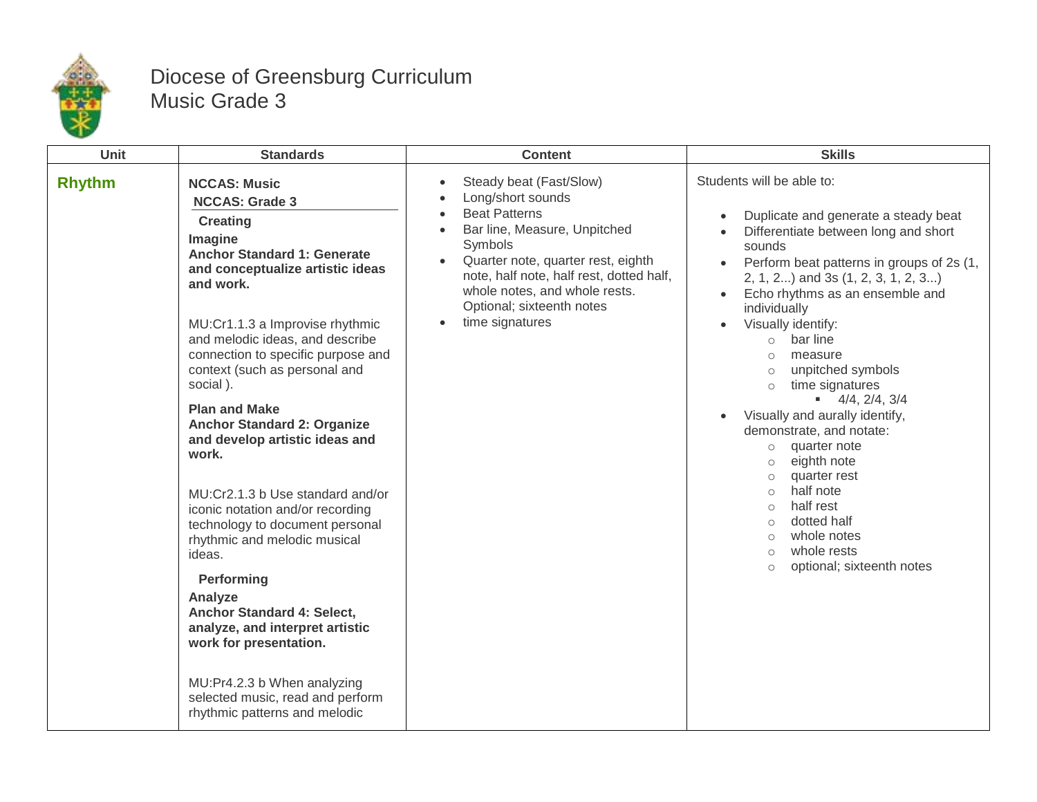

## Diocese of Greensburg Curriculum Music Grade 3

| Unit          | <b>Standards</b>                                                                                                                                                                                                                                                                                                                                                                                                                                                                                                                                                                                                                                                                                                                                                                                                 | <b>Content</b>                                                                                                                                                                                                                                                                                  | <b>Skills</b>                                                                                                                                                                                                                                                                                                                                                                                                                                                                                                                                                                                                                                                                                                                                                                      |
|---------------|------------------------------------------------------------------------------------------------------------------------------------------------------------------------------------------------------------------------------------------------------------------------------------------------------------------------------------------------------------------------------------------------------------------------------------------------------------------------------------------------------------------------------------------------------------------------------------------------------------------------------------------------------------------------------------------------------------------------------------------------------------------------------------------------------------------|-------------------------------------------------------------------------------------------------------------------------------------------------------------------------------------------------------------------------------------------------------------------------------------------------|------------------------------------------------------------------------------------------------------------------------------------------------------------------------------------------------------------------------------------------------------------------------------------------------------------------------------------------------------------------------------------------------------------------------------------------------------------------------------------------------------------------------------------------------------------------------------------------------------------------------------------------------------------------------------------------------------------------------------------------------------------------------------------|
| <b>Rhythm</b> | <b>NCCAS: Music</b><br><b>NCCAS: Grade 3</b><br><b>Creating</b><br>Imagine<br><b>Anchor Standard 1: Generate</b><br>and conceptualize artistic ideas<br>and work.<br>MU:Cr1.1.3 a Improvise rhythmic<br>and melodic ideas, and describe<br>connection to specific purpose and<br>context (such as personal and<br>social).<br><b>Plan and Make</b><br><b>Anchor Standard 2: Organize</b><br>and develop artistic ideas and<br>work.<br>MU:Cr2.1.3 b Use standard and/or<br>iconic notation and/or recording<br>technology to document personal<br>rhythmic and melodic musical<br>ideas.<br>Performing<br>Analyze<br>Anchor Standard 4: Select,<br>analyze, and interpret artistic<br>work for presentation.<br>MU:Pr4.2.3 b When analyzing<br>selected music, read and perform<br>rhythmic patterns and melodic | Steady beat (Fast/Slow)<br>$\bullet$<br>Long/short sounds<br><b>Beat Patterns</b><br>Bar line, Measure, Unpitched<br>Symbols<br>Quarter note, quarter rest, eighth<br>note, half note, half rest, dotted half,<br>whole notes, and whole rests.<br>Optional; sixteenth notes<br>time signatures | Students will be able to:<br>Duplicate and generate a steady beat<br>$\bullet$<br>Differentiate between long and short<br>sounds<br>Perform beat patterns in groups of 2s (1,<br>$\bullet$<br>2, 1, 2) and 3s (1, 2, 3, 1, 2, 3)<br>Echo rhythms as an ensemble and<br>$\bullet$<br>individually<br>Visually identify:<br>$\bullet$<br>bar line<br>$\circ$<br>measure<br>$\circ$<br>unpitched symbols<br>$\circ$<br>time signatures<br>$\circ$<br>$\bullet$ 4/4, 2/4, 3/4<br>Visually and aurally identify,<br>demonstrate, and notate:<br>quarter note<br>$\circ$<br>eighth note<br>$\circ$<br>quarter rest<br>half note<br>$\circ$<br>half rest<br>$\circ$<br>dotted half<br>$\circ$<br>whole notes<br>$\circ$<br>whole rests<br>$\circ$<br>optional; sixteenth notes<br>$\circ$ |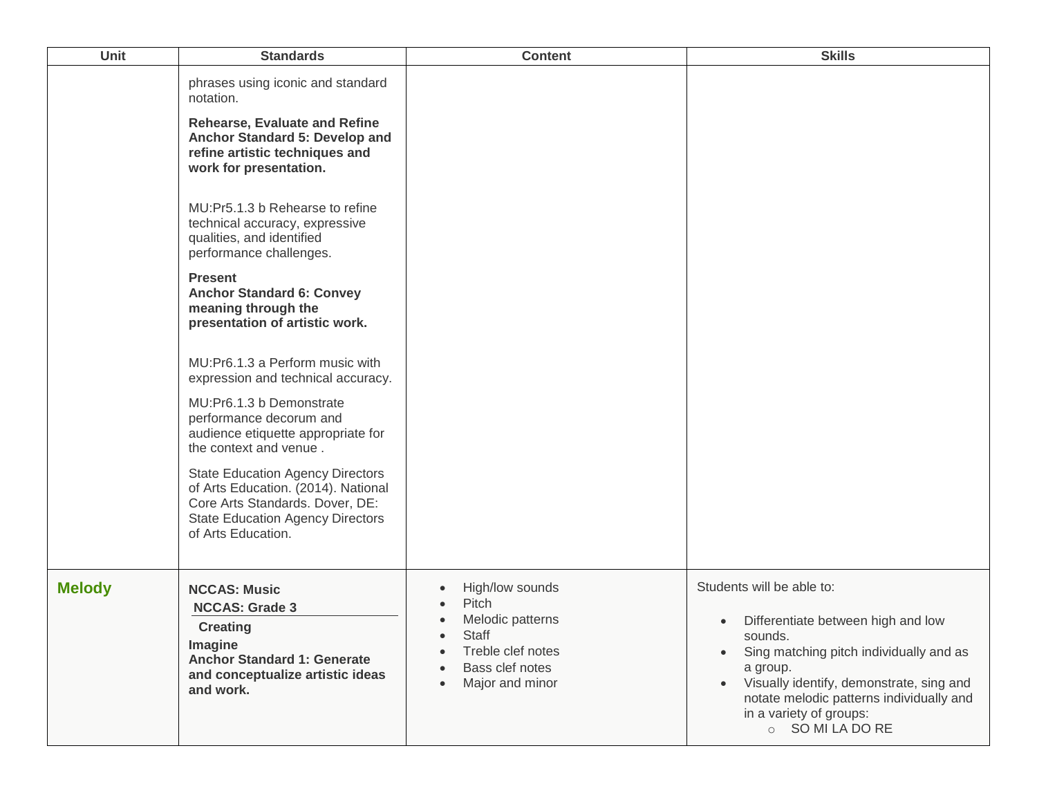| <b>Unit</b>   | <b>Standards</b>                                                                                                                                                                                                                                                                                                                                                                                                                                                                                                                                                                                                                                                                                                                                                                                                       | <b>Content</b>                                                                                                                                                                                 | <b>Skills</b>                                                                                                                                                                                                                                                            |
|---------------|------------------------------------------------------------------------------------------------------------------------------------------------------------------------------------------------------------------------------------------------------------------------------------------------------------------------------------------------------------------------------------------------------------------------------------------------------------------------------------------------------------------------------------------------------------------------------------------------------------------------------------------------------------------------------------------------------------------------------------------------------------------------------------------------------------------------|------------------------------------------------------------------------------------------------------------------------------------------------------------------------------------------------|--------------------------------------------------------------------------------------------------------------------------------------------------------------------------------------------------------------------------------------------------------------------------|
|               | phrases using iconic and standard<br>notation.<br><b>Rehearse, Evaluate and Refine</b><br>Anchor Standard 5: Develop and<br>refine artistic techniques and<br>work for presentation.<br>MU:Pr5.1.3 b Rehearse to refine<br>technical accuracy, expressive<br>qualities, and identified<br>performance challenges.<br><b>Present</b><br><b>Anchor Standard 6: Convey</b><br>meaning through the<br>presentation of artistic work.<br>MU:Pr6.1.3 a Perform music with<br>expression and technical accuracy.<br>MU:Pr6.1.3 b Demonstrate<br>performance decorum and<br>audience etiquette appropriate for<br>the context and venue.<br><b>State Education Agency Directors</b><br>of Arts Education. (2014). National<br>Core Arts Standards. Dover, DE:<br><b>State Education Agency Directors</b><br>of Arts Education. |                                                                                                                                                                                                |                                                                                                                                                                                                                                                                          |
| <b>Melody</b> | <b>NCCAS: Music</b><br><b>NCCAS: Grade 3</b><br><b>Creating</b><br>Imagine<br><b>Anchor Standard 1: Generate</b><br>and conceptualize artistic ideas<br>and work.                                                                                                                                                                                                                                                                                                                                                                                                                                                                                                                                                                                                                                                      | High/low sounds<br>$\bullet$<br>Pitch<br>Melodic patterns<br>$\bullet$<br>Staff<br>$\bullet$<br>Treble clef notes<br>$\bullet$<br>Bass clef notes<br>$\bullet$<br>Major and minor<br>$\bullet$ | Students will be able to:<br>Differentiate between high and low<br>sounds.<br>Sing matching pitch individually and as<br>a group.<br>Visually identify, demonstrate, sing and<br>notate melodic patterns individually and<br>in a variety of groups:<br>○ SO MI LA DO RE |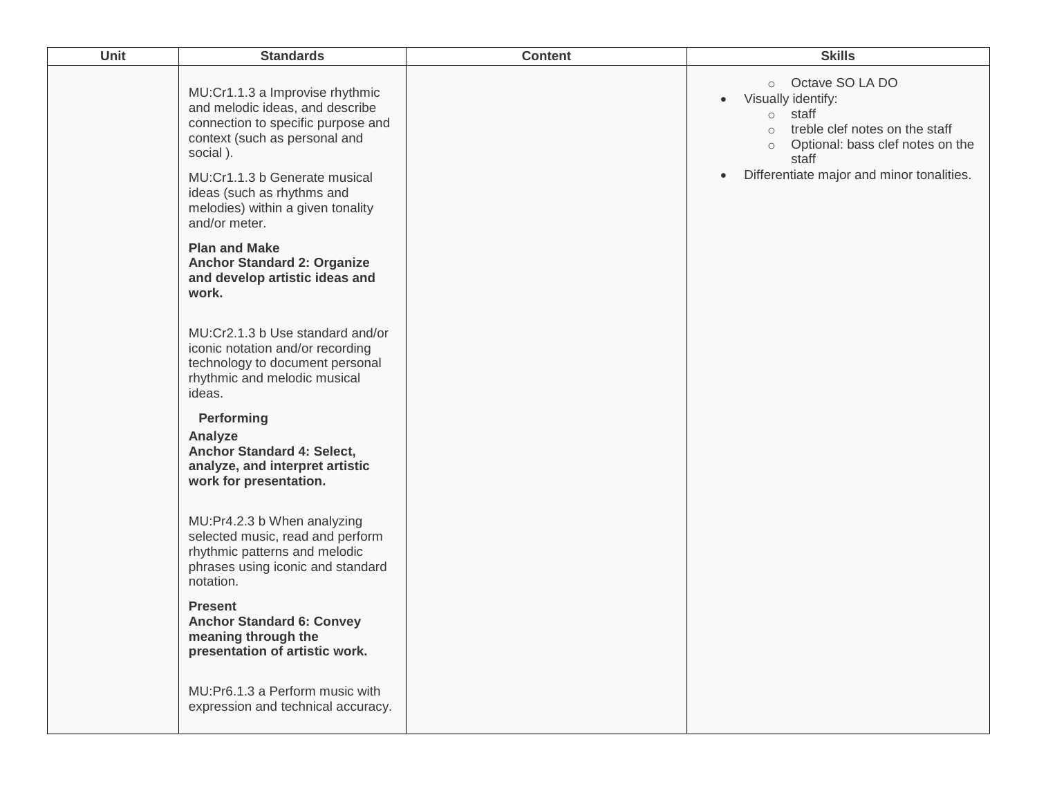| Unit | <b>Standards</b>                                                                                                                                      | <b>Content</b> | <b>Skills</b>                                                                                                                                                                 |
|------|-------------------------------------------------------------------------------------------------------------------------------------------------------|----------------|-------------------------------------------------------------------------------------------------------------------------------------------------------------------------------|
|      | MU:Cr1.1.3 a Improvise rhythmic<br>and melodic ideas, and describe<br>connection to specific purpose and<br>context (such as personal and<br>social). |                | Octave SO LA DO<br>$\circ$<br>Visually identify:<br>$\bullet$<br>o staff<br>treble clef notes on the staff<br>$\circ$<br>Optional: bass clef notes on the<br>$\circ$<br>staff |
|      | MU:Cr1.1.3 b Generate musical<br>ideas (such as rhythms and<br>melodies) within a given tonality<br>and/or meter.                                     |                | Differentiate major and minor tonalities.<br>$\bullet$                                                                                                                        |
|      | <b>Plan and Make</b><br><b>Anchor Standard 2: Organize</b><br>and develop artistic ideas and<br>work.                                                 |                |                                                                                                                                                                               |
|      | MU:Cr2.1.3 b Use standard and/or<br>iconic notation and/or recording<br>technology to document personal<br>rhythmic and melodic musical<br>ideas.     |                |                                                                                                                                                                               |
|      | Performing<br>Analyze<br>Anchor Standard 4: Select,<br>analyze, and interpret artistic<br>work for presentation.                                      |                |                                                                                                                                                                               |
|      | MU:Pr4.2.3 b When analyzing<br>selected music, read and perform<br>rhythmic patterns and melodic<br>phrases using iconic and standard<br>notation.    |                |                                                                                                                                                                               |
|      | <b>Present</b><br><b>Anchor Standard 6: Convey</b><br>meaning through the<br>presentation of artistic work.                                           |                |                                                                                                                                                                               |
|      | MU:Pr6.1.3 a Perform music with<br>expression and technical accuracy.                                                                                 |                |                                                                                                                                                                               |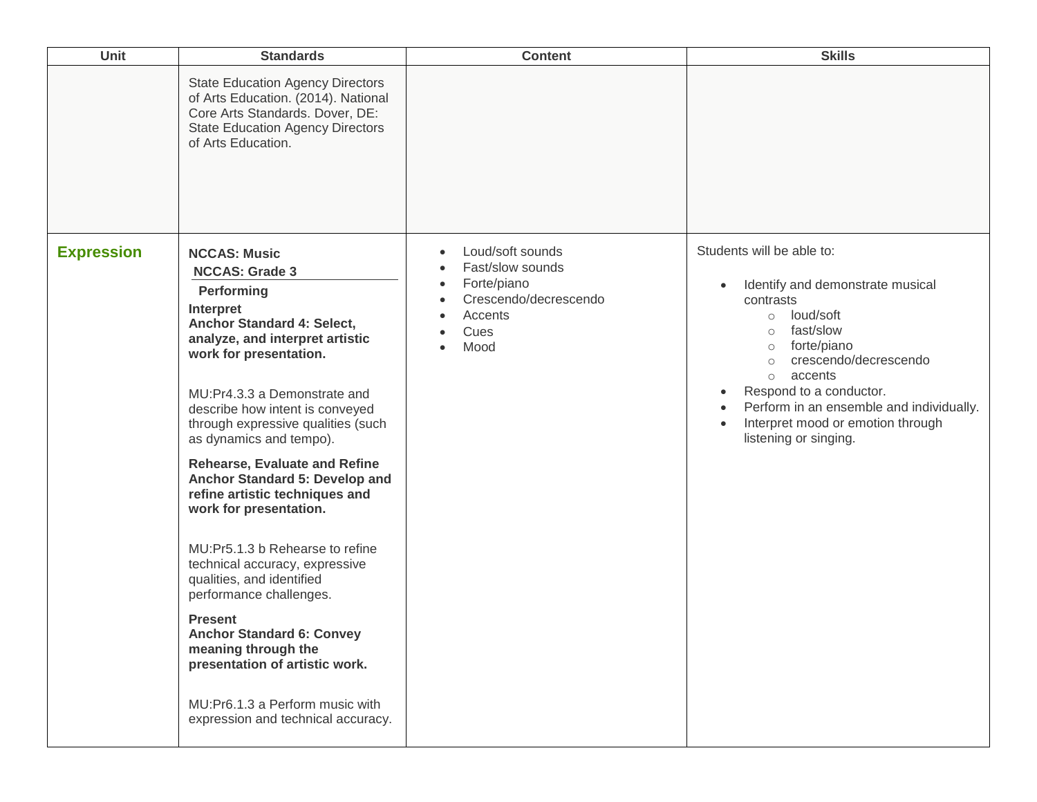| <b>Unit</b>       | <b>Standards</b>                                                                                                                                                                                                                                                                                                                                                                                                                                                                                                                                                                                                                                                                                                                                                  | <b>Content</b>                                                                                                                                                                        | <b>Skills</b>                                                                                                                                                                                                                                                                                                                                       |
|-------------------|-------------------------------------------------------------------------------------------------------------------------------------------------------------------------------------------------------------------------------------------------------------------------------------------------------------------------------------------------------------------------------------------------------------------------------------------------------------------------------------------------------------------------------------------------------------------------------------------------------------------------------------------------------------------------------------------------------------------------------------------------------------------|---------------------------------------------------------------------------------------------------------------------------------------------------------------------------------------|-----------------------------------------------------------------------------------------------------------------------------------------------------------------------------------------------------------------------------------------------------------------------------------------------------------------------------------------------------|
|                   | <b>State Education Agency Directors</b><br>of Arts Education. (2014). National<br>Core Arts Standards. Dover, DE:<br><b>State Education Agency Directors</b><br>of Arts Education.                                                                                                                                                                                                                                                                                                                                                                                                                                                                                                                                                                                |                                                                                                                                                                                       |                                                                                                                                                                                                                                                                                                                                                     |
| <b>Expression</b> | <b>NCCAS: Music</b><br><b>NCCAS: Grade 3</b><br>Performing<br>Interpret<br>Anchor Standard 4: Select,<br>analyze, and interpret artistic<br>work for presentation.<br>MU:Pr4.3.3 a Demonstrate and<br>describe how intent is conveyed<br>through expressive qualities (such<br>as dynamics and tempo).<br><b>Rehearse, Evaluate and Refine</b><br>Anchor Standard 5: Develop and<br>refine artistic techniques and<br>work for presentation.<br>MU:Pr5.1.3 b Rehearse to refine<br>technical accuracy, expressive<br>qualities, and identified<br>performance challenges.<br><b>Present</b><br><b>Anchor Standard 6: Convey</b><br>meaning through the<br>presentation of artistic work.<br>MU:Pr6.1.3 a Perform music with<br>expression and technical accuracy. | Loud/soft sounds<br>$\bullet$<br>Fast/slow sounds<br>$\bullet$<br>Forte/piano<br>$\bullet$<br>Crescendo/decrescendo<br>$\bullet$<br>Accents<br>$\bullet$<br>Cues<br>Mood<br>$\bullet$ | Students will be able to:<br>Identify and demonstrate musical<br>contrasts<br>loud/soft<br>$\circ$<br>fast/slow<br>$\circ$<br>forte/piano<br>$\circ$<br>crescendo/decrescendo<br>$\circ$<br>accents<br>$\circ$<br>Respond to a conductor.<br>Perform in an ensemble and individually.<br>Interpret mood or emotion through<br>listening or singing. |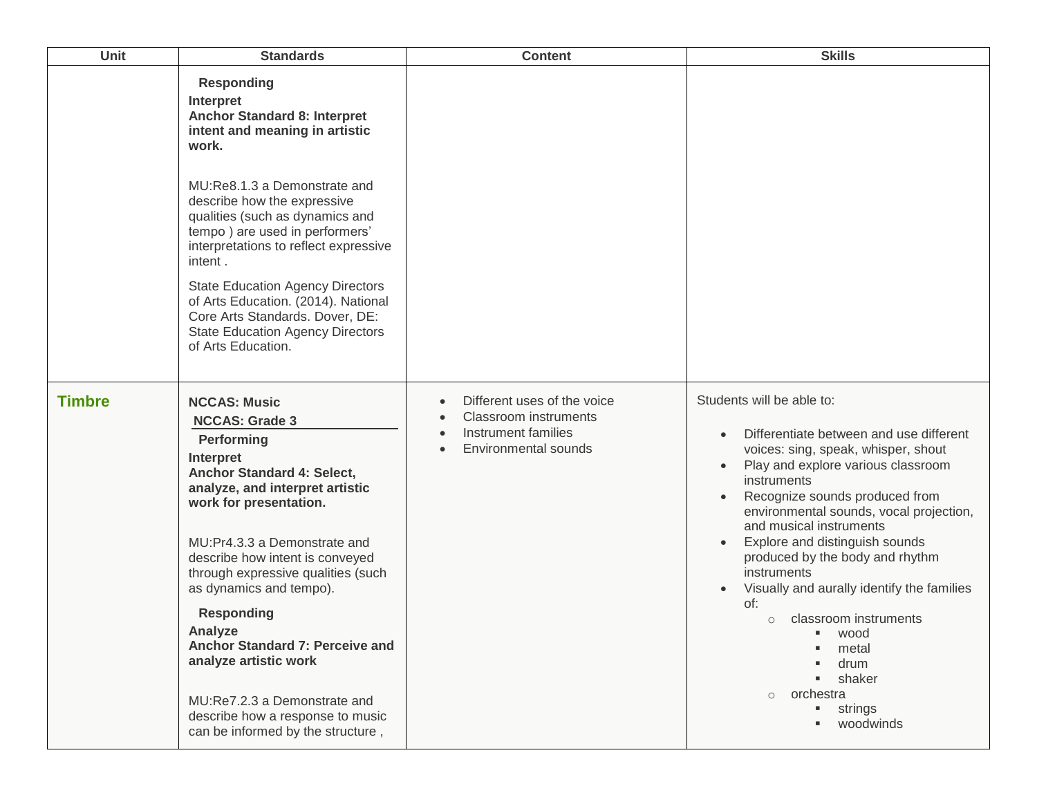| Unit          | <b>Standards</b>                                                                                                                                                                                                                                                                                                                                                                                                                                                                                            | <b>Content</b>                                                                                                                                           | <b>Skills</b>                                                                                                                                                                                                                                                                                                                                                                                                                                                                                                                                   |
|---------------|-------------------------------------------------------------------------------------------------------------------------------------------------------------------------------------------------------------------------------------------------------------------------------------------------------------------------------------------------------------------------------------------------------------------------------------------------------------------------------------------------------------|----------------------------------------------------------------------------------------------------------------------------------------------------------|-------------------------------------------------------------------------------------------------------------------------------------------------------------------------------------------------------------------------------------------------------------------------------------------------------------------------------------------------------------------------------------------------------------------------------------------------------------------------------------------------------------------------------------------------|
|               | <b>Responding</b><br>Interpret<br><b>Anchor Standard 8: Interpret</b><br>intent and meaning in artistic<br>work.<br>MU: Re8.1.3 a Demonstrate and<br>describe how the expressive<br>qualities (such as dynamics and<br>tempo) are used in performers'<br>interpretations to reflect expressive<br>intent.<br><b>State Education Agency Directors</b><br>of Arts Education. (2014). National<br>Core Arts Standards. Dover, DE:<br><b>State Education Agency Directors</b><br>of Arts Education.             |                                                                                                                                                          |                                                                                                                                                                                                                                                                                                                                                                                                                                                                                                                                                 |
| <b>Timbre</b> | <b>NCCAS: Music</b><br><b>NCCAS: Grade 3</b><br>Performing<br>Interpret<br>Anchor Standard 4: Select,<br>analyze, and interpret artistic<br>work for presentation.<br>MU:Pr4.3.3 a Demonstrate and<br>describe how intent is conveyed<br>through expressive qualities (such<br>as dynamics and tempo).<br><b>Responding</b><br>Analyze<br>Anchor Standard 7: Perceive and<br>analyze artistic work<br>MU:Re7.2.3 a Demonstrate and<br>describe how a response to music<br>can be informed by the structure, | Different uses of the voice<br>$\bullet$<br><b>Classroom instruments</b><br>Instrument families<br>$\bullet$<br><b>Environmental sounds</b><br>$\bullet$ | Students will be able to:<br>Differentiate between and use different<br>voices: sing, speak, whisper, shout<br>Play and explore various classroom<br>instruments<br>Recognize sounds produced from<br>environmental sounds, vocal projection,<br>and musical instruments<br>Explore and distinguish sounds<br>produced by the body and rhythm<br>instruments<br>Visually and aurally identify the families<br>of:<br>classroom instruments<br>$\circ$<br>■ wood<br>metal<br>drum<br>shaker<br>orchestra<br>$\circ$<br>strings<br>ш<br>woodwinds |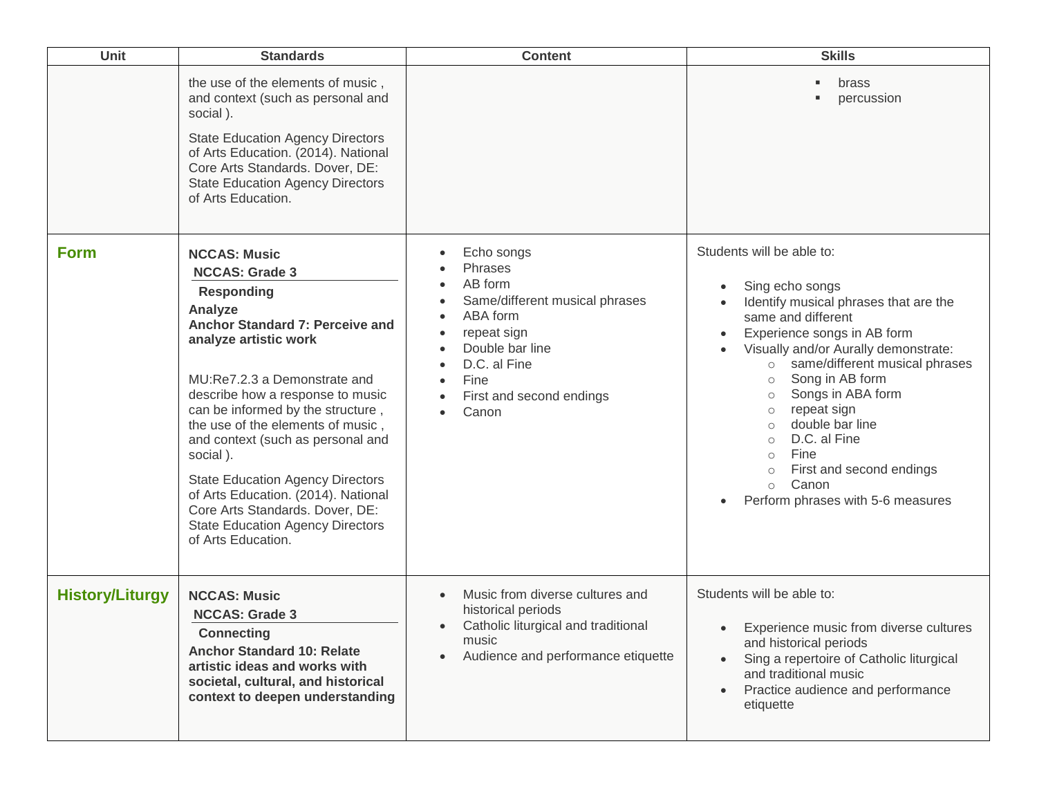| Unit                   | <b>Standards</b>                                                                                                                                                                                                                                                                                                                                                                                                                                                                                                              | <b>Content</b>                                                                                                                                                                                                                                                                        | <b>Skills</b>                                                                                                                                                                                                                                                                                                                                                                                                                                                                                       |
|------------------------|-------------------------------------------------------------------------------------------------------------------------------------------------------------------------------------------------------------------------------------------------------------------------------------------------------------------------------------------------------------------------------------------------------------------------------------------------------------------------------------------------------------------------------|---------------------------------------------------------------------------------------------------------------------------------------------------------------------------------------------------------------------------------------------------------------------------------------|-----------------------------------------------------------------------------------------------------------------------------------------------------------------------------------------------------------------------------------------------------------------------------------------------------------------------------------------------------------------------------------------------------------------------------------------------------------------------------------------------------|
|                        | the use of the elements of music,<br>and context (such as personal and<br>social).<br><b>State Education Agency Directors</b><br>of Arts Education. (2014). National<br>Core Arts Standards. Dover, DE:<br><b>State Education Agency Directors</b><br>of Arts Education.                                                                                                                                                                                                                                                      |                                                                                                                                                                                                                                                                                       | brass<br>ш<br>percussion                                                                                                                                                                                                                                                                                                                                                                                                                                                                            |
| <b>Form</b>            | <b>NCCAS: Music</b><br><b>NCCAS: Grade 3</b><br><b>Responding</b><br>Analyze<br>Anchor Standard 7: Perceive and<br>analyze artistic work<br>MU:Re7.2.3 a Demonstrate and<br>describe how a response to music<br>can be informed by the structure,<br>the use of the elements of music,<br>and context (such as personal and<br>social).<br><b>State Education Agency Directors</b><br>of Arts Education. (2014). National<br>Core Arts Standards. Dover, DE:<br><b>State Education Agency Directors</b><br>of Arts Education. | Echo songs<br>$\bullet$<br>Phrases<br>AB form<br>$\bullet$<br>Same/different musical phrases<br>ABA form<br>repeat sign<br>$\bullet$<br>Double bar line<br>$\bullet$<br>D.C. al Fine<br>$\bullet$<br>Fine<br>$\bullet$<br>First and second endings<br>$\bullet$<br>Canon<br>$\bullet$ | Students will be able to:<br>Sing echo songs<br>Identify musical phrases that are the<br>same and different<br>Experience songs in AB form<br>Visually and/or Aurally demonstrate:<br>same/different musical phrases<br>$\circ$<br>Song in AB form<br>$\circ$<br>Songs in ABA form<br>$\circ$<br>repeat sign<br>$\circ$<br>double bar line<br>$\circ$<br>D.C. al Fine<br>$\circ$<br>Fine<br>$\circ$<br>First and second endings<br>$\circ$<br>Canon<br>$\circ$<br>Perform phrases with 5-6 measures |
| <b>History/Liturgy</b> | <b>NCCAS: Music</b><br><b>NCCAS: Grade 3</b><br><b>Connecting</b><br><b>Anchor Standard 10: Relate</b><br>artistic ideas and works with<br>societal, cultural, and historical<br>context to deepen understanding                                                                                                                                                                                                                                                                                                              | Music from diverse cultures and<br>$\bullet$<br>historical periods<br>Catholic liturgical and traditional<br>$\bullet$<br>music<br>Audience and performance etiquette                                                                                                                 | Students will be able to:<br>Experience music from diverse cultures<br>and historical periods<br>Sing a repertoire of Catholic liturgical<br>and traditional music<br>Practice audience and performance<br>etiquette                                                                                                                                                                                                                                                                                |